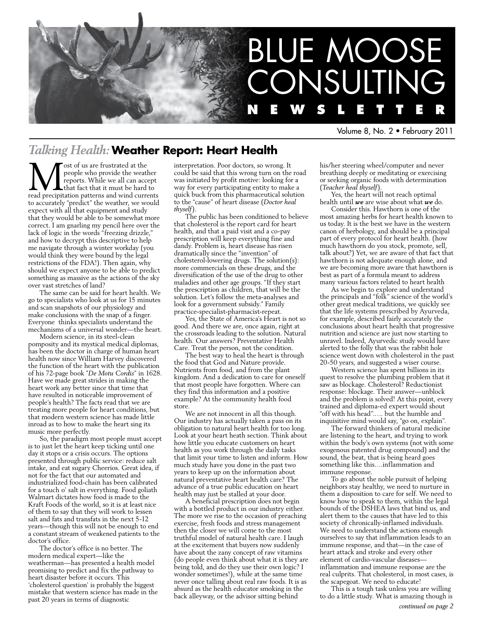

Volume 8, No. 2 • February 2011

## *Talking Health:* **Weather Report: Heart Health**

ost of us are frustrated at the people who provide the weather reports. While we all can accept that fact that it must be hard to read precipitation patterns and wind currents to accurately "predict" the weather, we would expect with all that equipment and study that they would be able to be somewhat more correct. I am gnarling my pencil here over the lack of logic in the words "freezing drizzle," and how to decrypt this descriptive to help me navigate through a winter workday (you would think they were bound by the legal restrictions of the FDA!). Then again, why should we expect anyone to be able to predict something as massive as the actions of the sky over vast stretches of land?

The same can be said for heart health. We go to specialists who look at us for 15 minutes and scan snapshots of our physiology and make conclusions with the snap of a finger. Everyone thinks specialists understand the mechanisms of a universal wonder—the heart.

Modern science, in its steel-clean pomposity and its mystical medical diplomas, has been the doctor in charge of human heart health now since William Harvey discovered the function of the heart with the publication of his 72-page book "*De Motu Cordis*" in 1628. Have we made great strides in making the heart work any better since that time that have resulted in noticeable improvement of people's health? The facts read that we are treating more people for heart conditions, but that modern western science has made little inroad as to how to make the heart sing its music more perfectly.

So, the paradigm most people must accept is to just let the heart keep ticking until one day it stops or a crisis occurs. The options presented through public service: reduce salt intake, and eat sugary Cheerios. Great idea, if not for the fact that our automated and industrialized food-chain has been calibrated for a touch o' salt in everything. Food goliath Walmart dictates how food is made to the Kraft Foods of the world, so it is at least nice of them to say that they will work to lessen salt and fats and transfats in the next 5-12 years—though this will not be enough to end a constant stream of weakened patients to the doctor's office.

The doctor's office is no better. The modern medical expert—like the weatherman—has presented a health model promising to predict and fix the pathway to heart disaster before it occurs. This 'cholesterol question' is probably the biggest mistake that western science has made in the past 20 years in terms of diagnostic

interpretation. Poor doctors, so wrong. It could be said that this wrong turn on the road was initiated by profit motive: looking for a way for every participating entity to make a quick buck from this pharmaceutical solution to the "cause" of heart disease (*Doctor heal thyself*).

The public has been conditioned to believe that cholesterol is the report card for heart health, and that a paid visit and a co-pay prescription will keep everything fine and dandy. Problem is, heart disease has risen dramatically since the "invention" of cholesterol-lowering drugs. The solution(s): more commercials on these drugs, and the diversification of the use of the drug to other maladies and other age groups. "If they start the prescription as children, that will be the solution. Let's follow the meta-analyses and look for a government subsidy." Family practice-specialist-pharmacist-repeat.

Yes, the State of America's Heart is not so good. And there we are, once again, right at the crossroads leading to the solution. Natural health. Our answers? Preventative Health Care. Treat the person, not the condition.

The best way to heal the heart is through the food that God and Nature provide. Nutrients from food, and from the plant kingdom. And a dedication to care for oneself that most people have forgotten. Where can they find this information and a positive example? At the community health food store.

We are not innocent in all this though. Our industry has actually taken a pass on its obligation to natural heart health for too long. Look at your heart heath section. Think about how little you educate customers on heart health as you work through the daily tasks that limit your time to listen and inform. How much study have you done in the past two years to keep up on the information about natural preventative heart health care? The advance of a true public education on heart health may just be stalled at your door.

A beneficial prescription does not begin with a bottled product in our industry either. The more we rise to the occasion of preaching exercise, fresh foods and stress management then the closer we will come to the most truthful model of natural health care. I laugh at the excitement that buyers now suddenly have about the zany concept of raw vitamins (do people even think about what it is they are being told, and do they use their own logic? I wonder sometimes!), while at the same time never once talling about real raw foods. It is as absurd as the health educator smoking in the back alleyway, or the advisor sitting behind

his/her steering wheel/computer and never breathing deeply or meditating or exercising or seeking organic foods with determination (*Teacher heal thyself*).

Yes, the heart will not reach optimal health until *we* are wise about what *we* do.

Consider this. Hawthorn is one of the most amazing herbs for heart health known to us today. It is the best we have in the western canon of herbology, and should be a principal part of every protocol for heart health. (how much hawthorn do you stock, promote, sell, talk about?) Yet, we are aware of that fact that hawthorn is not adequate enough alone, and we are becoming more aware that hawthorn is best as part of a formula meant to address many various factors related to heart health

As we begin to explore and understand the principals and "folk" science of the world's other great medical traditions, we quickly see that the life systems prescribed by Ayurveda, for example, described fairly accurately the conclusions about heart health that progressive nutrition and science are just now starting to unravel. Indeed, Ayurvedic study would have alerted to the folly that was the rabbit hole science went down with cholesterol in the past 20-50 years, and suggested a wiser course.

Western science has spent billions in its quest to resolve the plumbing problem that it saw as blockage. Cholesterol? Reductionist response: blockage. Their answer—unblock and the problem is solved! At this point, every trained and diploma-ed expert would shout "off with his head".…. but the humble and inquisitive mind would say, "go on, explain".

The forward thinkers of natural medicine are listening to the heart, and trying to work within the body's own systems (not with some exogenous patented drug compound) and the sound, the beat, that is being heard goes something like this….inflammation and immune response.

To go about the noble pursuit of helping neighbors stay healthy, we need to nurture in them a disposition to care for self. We need to know how to speak to them, within the legal bounds of the DSHEA laws that bind us, and alert them to the causes that have led to this society of chronically-inflamed individuals. We need to understand the actions enough ourselves to say that inflammation leads to an immune response, and that—in the case of heart attack and stroke and every other element of cardio-vascular diseases inflammation and immune response are the real culprits. That cholesterol, in most cases, is the scapegoat. We need to educate!

This is a tough task unless you are willing to do a little study. What is amazing though is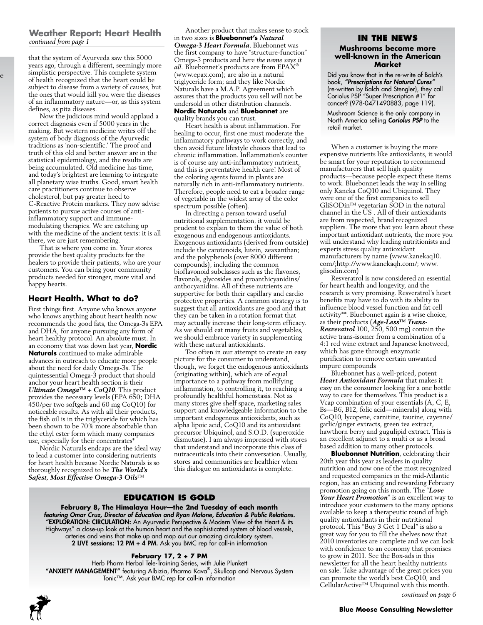#### **Weather Report: Heart Health** *continued from page 1*

that the system of Ayurveda saw this 5000 years ago, through a different, seemingly more simplistic perspective. This complete system of health recognized that the heart could be subject to disease from a variety of causes, but the ones that would kill you were the diseases of an inflammatory nature—or, as this system defines, as pita diseases.

 $\mathbf e$ 

Now the judicious mind would applaud a correct diagnosis even if 5000 years in the making. But western medicine writes off the system of body diagnosis of the Ayurvedic traditions as 'non-scientific.' The proof and truth of this old and better answer are in the statistical epidemiology, and the results are being accumulated. Old medicine has time, and today's brightest are learning to integrate all planetary wise truths. Good, smart health care practitioners continue to observe cholesterol, but pay greater heed to C-Reactive Protein markers. They now advise patients to pursue active courses of antiinflammatory support and immunemodulating therapies. We are catching up with the medicine of the ancient texts: it is all there, we are just remembering.

That is where you come in. Your stores provide the best quality products for the healers to provide their patients, who are your customers. You can bring your community products needed for stronger, more vital and happy hearts.

#### **Heart Health. What to do?**

First things first. Anyone who knows anyone who knows anything about heart health now recommends the good fats, the Omega-3s EPA and DHA, for anyone pursuing any form of heart healthy protocol. An absolute must. In an economy that was down last year, **Nordic Naturals** continued to make admirable advances in outreach to educate more people about the need for daily Omega-3s. The quintessential Omega-3 product that should anchor your heart health section is their *Ultimate Omega™ + CoQ10*. This product provides the necessary levels (EPA 650; DHA 450/per two softgels and 60 mg CoQ10) for noticeable results. As with all their products, the fish oil is in the triglyceride for which has been shown to be 70% more absorbable than the ethyl ester form which many companies use, especially for their concentrates\*

Nordic Naturals endcaps are the ideal way to lead a customer into considering nutrients for heart health because Nordic Naturals is so thoroughly recognized to be *The World's Safest, Most Effective Omega-3 Oils*™

Another product that makes sense to stock in two sizes is **Bluebonnet's** *Natural Omega-3 Heart Formula*. Bluebonnet was the first company to have "structure-function" Omega-3 products and here *the name says it all.* Bluebonnet's products are from EPAX® (www.epax.com); are also in a natural triglyceride form; and they like Nordic Naturals have a M.A.P. Agreement which assures that the products you sell will not be undersold in other distribution channels. **Nordic Naturals** and **Bluebonnet** are quality brands you can trust.

Heart health is about inflammation. For healing to occur, first one must moderate the inflammatory pathways to work correctly, and then avoid future lifestyle choices that lead to chronic inflammation. Inflammation's counter is of course any anti-inflammatory nutrient, and this is preventative health care! Most of the coloring agents found in plants are naturally rich in anti-inflammatory nutrients. Therefore, people need to eat a broader range of vegetable in the widest array of the color spectrum possible (often).

In directing a person toward useful nutritional supplementation, it would be prudent to explain to them the value of both exogenous and endogenous antioxidants. Exogenous antioxidants (derived from outside) include the carotenoids, lutein, zeaxanthan; and the polyphenols (over 8000 different compounds), including the common bioflavonoid subclasses such as the flavones, flavonols, glycosides and proanthicyanidins/ anthocyanidins. All of these nutrients are supportive for both their capillary and cardio protective properties. A common strategy is to suggest that all antioxidants are good and that they can be taken in a rotation format that may actually increase their long-term efficacy. As we should eat many fruits and vegetables, we should embrace variety in supplementing with these natural antioxidants.

Too often in our attempt to create an easy picture for the consumer to understand, though, we forget the endogenous antioxidants (originating within), which are of equal importance to a pathway from mollifying inflammation, to controlling it, to reaching a profoundly healthful homeostasis. Not as many stores give shelf space, marketing sales support and knowledgeable information to the important endogenous antioxidants, such as alpha lipoic acid, CoQ10 and its antioxidant precursor Ubiquinol, and S.O.D. (superoxide dismutase). I am always impressed with stores that understand and incorporate this class of nutraceuticals into their conversation. Usually, stores and communities are healthier when this dialogue on antioxidants is complete.

#### **Education is Gold**

**February 8, The Himalaya Hour—the 2nd Tuesday of each month** *featuring Omar Cruz, Director of Education and Ryan Malone, Education & Public Relations.* "EXPLORATION: CIRCULATION: An Ayurvedic Perspective & Modern View of the Heart & its Highways" a close-up look at the human heart and the sophisticated system of blood vessels, arteries and veins that make up and map out our amazing circulatory system. 2 LIVE sessions: 12 PM + 4 PM. Ask you BMC rep for call-in information

#### **February 17, 2 + 7 PM**

Herb Pharm Herbal Tele-Training Series, with Julie Plunkett "ANXIETY MANAGEMENT" featuring Albizia, Pharma Kava®, Skullcap and Nervous System Tonic™. Ask your BMC rep for call-in information



#### **In the news**

#### **Mushrooms become more well-known in the American Market**

Did you know that in the re-write of Balch's book, *"Prescriptions for Natural Cures"*  (re-written by Balch and Stengler), they call Coriolus PSP "Super Prescription #1" for cancer? (978-0471490883, page 119).

Mushroom Science is the only company in North America selling **Coriolus PSP** to the retail market.

When a customer is buying the more expensive nutrients like antioxidants, it would be smart for your reputation to recommend manufacturers that sell high quality products—because people expect these items to work. Bluebonnet leads the way in selling only Kaneka CoQ10 and Ubiquinol. They were one of the first companies to sell GliSODin™ vegetarian SOD in the natural channel in the US . All of their antioxidants are from respected, brand recognized suppliers. The more that you learn about these important antioxidant nutrients, the more you will understand why leading nutritionists and experts stress quality antioxidant manufacturers by name (www.kanekaq10. com/;http://www.kanekaqh.com/; www. glisodin.com)

Resveratrol is now considered an essential for heart health and longevity, and the research is very promising. Resveratrol's heart benefits may have to do with its ability to influence blood vessel function and fat cell activity\*\*. Bluebonnet again is a wise choice, as their products (*Age-Less™ Trans-Resveratrol* 100, 250, 500 mg) contain the active trans-isomer from a combination of a 4:1 red wine extract and Japanese knotweed, which has gone through enzymatic purification to remove certain unwanted impure compounds

Bluebonnet has a well-priced, potent *Heart Antioxidant Formula* that makes it easy on the consumer looking for a one bottle way to care for themselves. This product is a Vcap combination of your essentials (A, C, E, Bs—B6, B12, folic acid—minerals) along with CoQ10, lycopene, carnitine, taurine, cayenne/ garlic/ginger extracts, green tea extract, hawthorn berry and gugulipid extract. This is an excellent adjunct to a multi or as a broad based addition to many other protocols.

**Bluebonnet Nutrition**, celebrating their 20th year this year as leaders in quality nutrition and now one of the most recognized and requested companies in the mid-Atlantic region, has an enticing and rewarding February promotion going on this month. The "*Love Your Heart Promotion*" is an excellent way to introduce your customers to the many options available to keep a therapeutic round of high quality antioxidants in their nutritional protocol. This "Buy 3 Get 1 Deal" is also a great way for you to fill the shelves now that 2010 inventories are complete and we can look with confidence to an economy that promises to grow in 2011. See the Box-ads in this newsletter for all the heart healthy nutrients on sale. Take advantage of the great prices you can promote the world's best CoQ10, and CellularActive™ Ubiquinol with this month.

*continued on page 6*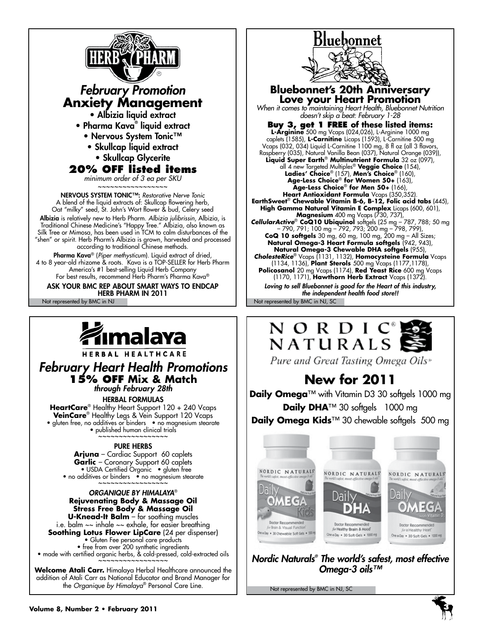

ASK YOUR BMC REP ABOUT SMART WAYS TO ENDCAP HERB PHARM IN 2011

Not represented by BMC in NJ Not represented by BMC in NJ, SC



## *February Heart Health Promotions* **15% off Mix & Match**

*through February 28th*

Herbal Formulas **HeartCare**® Healthy Heart Support 120 + 240 Vcaps **VeinCare**® Healthy Legs & Vein Support 120 Vcaps • gluten free, no additives or binders • no magnesium stearate

• published human clinical trials

#### Pure Herbs

**Arjuna** – Cardiac Support 60 caplets **Garlic** – Coronary Support 60 caplets • USDA Certified Organic • gluten free • no additives or binders • no magnesium stearate

#### *Organique by Himalaya*® **Rejuvenating Body & Massage Oil Stress Free Body & Massage Oil U-Knead-It Balm** – for soothing muscles

i.e. balm  $\sim$  inhale  $\sim$  exhale, for easier breathing **Soothing Lotus Flower LipCare** (24 per dispenser) • Gluten Fee personal care products • free from over 200 synthetic ingredients • made with certified organic herbs, & cold-pressed, cold-extracted oils

**Welcome Atali Carr.** Himalaya Herbal Healthcare announced the addition of Atali Carr as National Educator and Brand Manager for the *Organique by Himalaya*® Personal Care Line.

# **Bluebonnet**



**Bluebonnet's 20th Anniversary Love your Heart Promotion** *When it comes to maintaining Heart Health, Bluebonnet Nutrition* 

*doesn't skip a beat: February 1-28*

**Buy 3, get 1 FREE of these listed items: L-Arginine** 500 mg Vcaps (024,026), L-Arginine 1000 mg caplets (1585), **L-Carnitine** Licaps (1593), L-Carnitine 500 mg Vcaps (032, 034) Liquid L-Carnitine 1100 mg, 8 fl oz (all 3 flavors, Raspberry (035), Natural Vanilla Bean (037), Natural Orange (039)), **Liquid Super Earth**® **Multinutrient Formula** 32 oz (097), all 4 new Targeted Multiples® **Veggie Choice** (154), **Ladies' Choice**® (157), **Men's Choice**® (160), **Age-Less Choice**® **for Women 50+** (163), **Age-Less Choice**® **for Men 50+** (166), **Heart Antioxidant Formula** Vcaps (350,352). **EarthSweet**® **Chewable Vitamin B-6, B-12, Folic acid tabs** (445), **High Gamma Natural Vitamin E Complex** Licaps (600, 601), **Magnesium** 400 mg Vcaps (730, 737), *CellularActive*® **CoQ10 Ubiquinol** softgels (25 mg – 787, 788; 50 mg – 790, 791; 100 mg – 792, 793; 200 mg – 798, 799), **CoQ 10 softgels** 30 mg, 60 mg, 100 mg, 200 mg – All Sizes; **Natural Omega-3 Heart Formula softgels** (942, 943), **Natural Omega-3 Chewable DHA softgels** (955), *CholesteRice*® Vcaps (1131, 1132), **Homocysteine Formula** Vcaps (1134, 1136), **Plant Sterols** 500 mg Vcaps (1177,1178), **Policosanol** 20 mg Vcaps (1174), **Red Yeast Rice** 600 mg Vcaps (1170, 1171), **Hawthorn Herb Extract** Vcaps (1372). *Loving to sell Bluebonnet is good for the Heart of this industry, the independent health food store!!*



Pure and Great Tasting Omega Oils»

# **New for 2011**

**Daily Omega**™ with Vitamin D3 30 softgels 1000 mg **Daily DHA**™ 30 softgels 1000 mg **Daily Omega Kids**™ 30 chewable softgels 500 mg



*Nordic Naturals® The world's safest, most effective Omega-3 oils™*

Not represented by BMC in NJ, SC

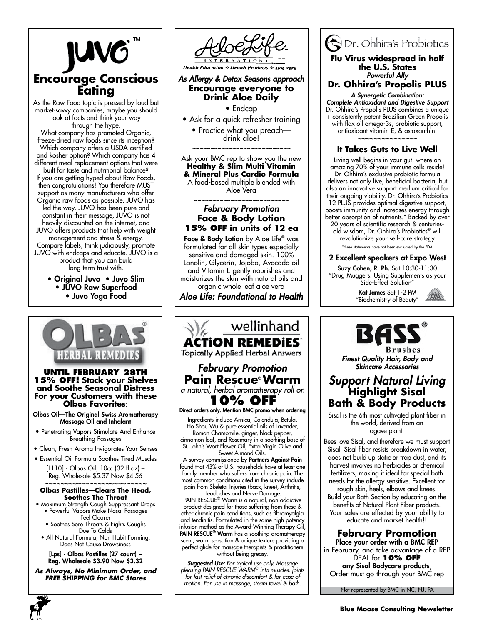

As the Raw Food topic is pressed by loud but market-savvy companies, maybe you should look at facts and think your way through the hype. What company has promoted Organic, freeze-dried raw foods since its inception? Which company offers a USDA-certified and kosher option? Which company has 4 different meal replacement options that were built for taste and nutritional balance? If you are getting hyped about Raw Foods, then congratulations! You therefore MUST support as many manufacturers who offer Organic raw foods as possible. JUVO has led the way, JUVO has been pure and constant in their message, JUVO is not heavily-discounted on the internet, and JUVO offers products that help with weight management and stress & energy. Compare labels, think judiciously, promote JUVO with endcaps and educate. JUVO is a product that you can build long-term trust with.

> • Original Juvo • Juvo Slim • JUVO Raw Superfood • Juvo Yoga Food



#### **Until February 28th 15% Off! Stock your Shelves and Soothe Seasonal Distress For your Customers with these Olbas Favorites**:

Olbas Oil—The Original Swiss Aromatherapy Massage Oil and Inhalant

- Penetrating Vapors Stimulate And Enhance Breathing Passages
- Clean, Fresh Aroma Invigorates Your Senses
- Essential Oil Formula Soothes Tired Muscles

[L110] - Olbas Oil, 10cc (32 fl oz) – Reg. Wholesale \$5.37 Now \$4.56 ~~~~~~~~~~~~~~~~~~~~~~~

#### **Olbas Pastilles—Clears The Head, Soothes The Throat**

- Maximum Strength Cough Suppressant Drops • Powerful Vapors Make Nasal Passages Feel Clearer
	- Soothes Sore Throats & Fights Coughs
- Due To Colds • All Natural Formula, Non Habit Forming, Does Not Cause Drowsiness

[Lps] - Olbas Pastilles (27 count) – Reg. Wholesale \$3.90 Now \$3.32

*As Always, No Minimum Order, and FREE SHIPPING for BMC Stores*



Face & Body Lotion by Aloe Life<sup>®</sup> was formulated for all skin types especially sensitive and damaged skin. 100% Lanolin, Glycerin, Jojoba, Avocado oil and Vitamin E gently nourishes and moisturizes the skin with natural oils and organic whole leaf aloe vera

*Aloe Life: Foundational to Health*



# ODr. Ohhira's Probiotics

#### **Flu Virus widespread in half the U.S. States** *Powerful Ally*

**Dr. Ohhira's Propolis PLUS**

*A Synergetic Combination: Complete Antioxidant and Digestive Support* Dr. Ohhira's Propolis PLUS combines a unique + consistently potent Brazilian Green Propolis with flax oil omega-3s, probiotic support, antioxidant vitamin E, & astaxanthin. *~~~~~~~~~~~~~~~*

## **It Takes Guts to Live Well**

Living well begins in your gut, where an amazing 70% of your immune cells reside! Dr. Ohhira's exclusive probiotic formula delivers not only live, beneficial bacteria, but also an innovative support medium critical for their ongoing viability. Dr. Ohhira's Probiotics 12 PLUS provides optimal digestive support, boosts immunity and increases energy through better absorption of nutrients.\* Backed by over 20 years of scientific research & centuries-

old wisdom, Dr. Ohhira's Probiotics® will revolutionize your self-care strategy \*these statements have not been evaluated by the FDA

#### 2 Excellent speakers at Expo West

Suzy Cohen, R. Ph. Sat 10:30-11:30 "Drug Muggers: Using Supplements as your Side-Effect Solution"

> Kat James Sat 1-2 PM "Biochemistry of Beauty"





*Finest Quality Hair, Body and Skincare Accessories*

## *Support Natural Living* **Highlight Sisal Bath & Body Products**

Sisal is the 6th most cultivated plant fiber in the world, derived from an agave plant.

Bees love Sisal, and therefore we must support Sisal! Sisal fiber resists breakdown in water, does not build up static or trap dust, and its harvest involves no herbicides or chemical fertilizers, making it ideal for special bath needs for the allergy sensitive. Excellent for rough skin, heels, elbows and knees.

Build your Bath Section by educating on the benefits of Natural Plant Fiber products. Your sales are effected by your ability to educate and market health!!

## **February Promotion**

Place your order with a BMC REP in February, and take advantage of a REP DEAL for **10% off** any Sisal Bodycare products, Order must go through your BMC rep

Not represented by BMC in NC, NJ, PA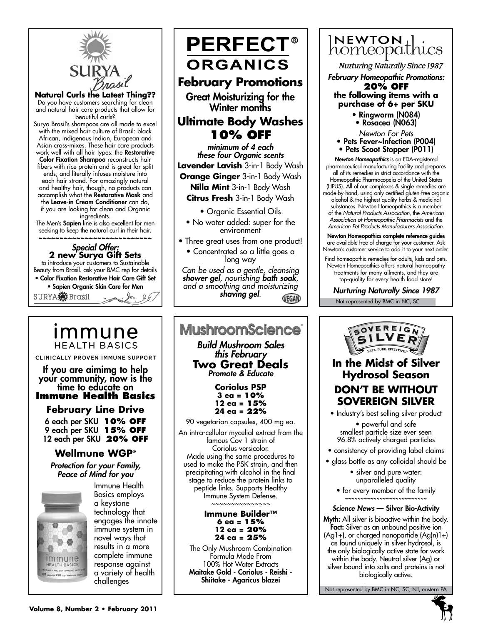

**Natural Curls the Latest Thing??**

Do you have customers searching for clean and natural hair care products that allow for beautiful curls?

Surya Brasil's shampoos are all made to excel with the mixed hair culture of Brasil: black African, indigenous Indian, European and Asian cross-mixes. These hair care products work well with all hair types: the Restorative Color Fixation Shampoo reconstructs hair fibers with rice protein and is great for split ends; and literally infuses moisture into each hair strand. For amazingly natural and healthy hair, though, no products can accomplish what the **Restorative Mask** and the Leave-in Cream Conditioner can do, if you are looking for clean and Organic ingredients.

The Men's Sapien line is also excellent for men seeking to keep the natural curl in their hair. **~~~~~~~~~~~~~~~~~~~~~~~~~~~**

*Special Offer:* **2 new Surya Gift Sets** to introduce your customers to Sustainable Beauty from Brasil. ask your BMC rep for details • Color Fixation Restorative Hair Care Gift Set • Sapien Organic Skin Care for Men

SURYA<sup>S</sup> Brasil

ımmune **HEALTH BASICS** 

CLINICALLY PROVEN IMMUNE SUPPORT

If you are aimimg to help your community, now is the<br>time to educate on **Immune Health Basics**

**February Line Drive**

6 each per SKU **10% off** 9 each per SKU **15% off** 12 each per SKU **20% off**

## **Wellmune WGP®**

*Protection for your Family, Peace of Mind for you*



Immune Health Basics employs a keystone technology that engages the innate immune system in novel ways that results in a more complete immune response against a variety of health challenges



*minimum of 4 each these four Organic scents* **Lavender Lavish** 3-in-1 Body Wash **Orange Ginger** 3-in-1 Body Wash **Nilla Mint** 3-in-1 Body Wash **Citrus Fresh** 3-in-1 Body Wash

• Organic Essential Oils

- No water added: super for the environment
- Three great uses from one product!
	- Concentrated so a little goes a long way

*Can be used as a gentle, cleansing shower gel, nourishing bath soak, and a smoothing and moisturizing shaving gel.* VEGAN

#### **MushroomScience**® *Build Mushroom Sales this February* **Two Great Deals** *Promote & Educate* **Coriolus PSP 3 ea = 10% 12 ea = 15% 24 ea = 22%** 90 vegetarian capsules, 400 mg ea. An intra-cellular mycelial extract from the famous Cov 1 strain of Coriolus versicolor. Made using the same procedures to used to make the PSK strain, and then precipitating with alcohol in the final stage to reduce the protein links to peptide links. Supports Healthy Immune System Defense. *~~~~~~~~~~~~~~~* **Immune Builder™**

**6 ea = 15% 12 ea = 20% 24 ea = 25%**

The Only Mushroom Combination Formula Made From 100% Hot Water Extracts Maitake Gold - Coriolus - Reishi - Shiitake - Agaricus blazei



**Nurturing Naturally Since 1987** 

- *February Homeopathic Promotions:* **20% off**
	- **the following items with a purchase of 6+ per SKU**
		- Ringworm (N084) • Rosacea (N063)

*Newton For Pets*

- Pets Fever~Infection (P004)
- Pets Scoot Stopper (P011)

*Newton Homeopathics* is an FDA-registered pharmaceutical manufacturing facility and prepares all of its remedies in strict accordance with the Homeopathic Pharmacopeia of the United States (HPUS). All of our complexes & single remedies are made-by-hand, using only certified gluten-free organic alcohol & the highest quality herbs & medicinal substances. Newton Homeopathics is a member of the *Natural Products Association,* the *American Association of Homeopathic Pharmacists* and the *American Pet Products Manufacturers Association.*

Newton Homeopathics complete reference guides are available free of charge for your customer. Ask Newton's customer service to add it to your next order.

Find homeopathic remedies for adults, kids and pets. Newton Homeopathics offers natural homeopathy treatments for many ailments, and they are top-quality for every health food store!

Not represented by BMC in NC, SC *Nurturing Naturally Since 1987*



• Industry's best selling silver product • powerful and safe smallest particle size ever seen 96.8% actively charged particles

• consistency of providing label claims

- glass bottle as any colloidal should be
	- silver and pure water: unparalleled quality
	- for every member of the family **~~~~~~~~~~~~~~~~~~~~~~~~~~**

#### *Science News* — Silver Bio-Activity

Myth: All silver is bioactive within the body. Fact: Silver as an unbound positive ion  $(Aq1+)$ , or charged nanoparticle  $(Aq(n)1+)$ as found uniquely in silver hydrosol, is the only biologically active state for work within the body. Neutral silver (Ag) or silver bound into salts and proteins is not biologically active.

Not represented by BMC in NC, SC, NJ, eastern PA

**5**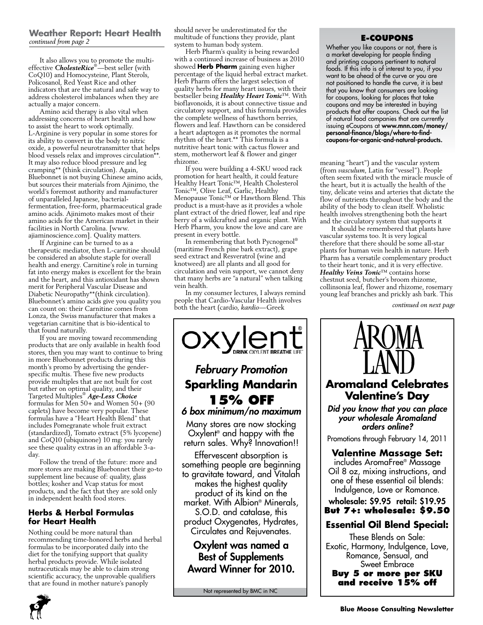#### **Weather Report: Heart Health** *continued from page 2*

It also allows you to promote the multieffective *CholesteRice*®—best seller (with CoQ10) and Homocysteine, Plant Sterols, Policosanol, Red Yeast Rice and other indicators that are the natural and safe way to address cholesterol imbalances when they are actually a major concern.

Amino acid therapy is also vital when addressing concerns of heart health and how to assist the heart to work optimally. L-Arginine is very popular in some stores for its ability to convert in the body to nitric oxide, a powerful neurotransmitter that helps blood vessels relax and improves circulation\*\*. It may also reduce blood pressure and leg cramping\*\* (think circulation). Again, Bluebonnet is not buying Chinese amino acids, but sources their materials from Ajinimo, the world's foremost authority and manufacturer of unparalleled Japanese, bacterialfermentation, free-form, pharmaceutical grade amino acids. Ajinimoto makes most of their amino acids for the American market in their facilities in North Carolina. [www. ajiaminoscience.com]. Quality matters.

If Arginine can be turned to as a therapeutic mediator, then L-carnitine should be considered an absolute staple for overall health and energy. Carnitine's role in turning fat into energy makes is excellent for the brain and the heart, and this antioxidant has shown merit for Peripheral Vascular Disease and Diabetic Neuropathy\*\*(think circulation). Bluebonnet's amino acids give you quality you can count on: their Carnitine comes from Lonza, the Swiss manufacturer that makes a vegetarian carnitine that is bio-identical to that found naturally.

If you are moving toward recommending products that are only available in health food stores, then you may want to continue to bring in more Bluebonnet products during this month's promo by advertising the genderspecific multis. These five new products provide multiples that are not built for cost but rather on optimal quality, and their Targeted Multiples® *Age-Less Choice* formulas for Men 50+ and Women 50+ (90 caplets) have become very popular. These formulas have a "Heart Health Blend" that includes Pomegranate whole fruit extract (standardized), Tomato extract (5% lycopene) and CoQ10 (ubiquinone) 10 mg: you rarely see these quality extras in an affordable 3-aday.

Follow the trend of the future: more and more stores are making Bluebonnet their go-to supplement line because of: quality, glass bottles; kosher and Vcap status for most products, and the fact that they are sold only in independent health food stores.

### **Herbs & Herbal Formulas for Heart Health**

Nothing could be more natural than recommending time-honored herbs and herbal formulas to be incorporated daily into the diet for the tonifying support that quality herbal products provide. While isolated nutraceuticals may be able to claim strong scientific accuracy, the unprovable qualifiers that are found in mother nature's panoply

should never be underestimated for the multitude of functions they provide, plant system to human body system.

Herb Pharm's quality is being rewarded with a continued increase of business as 2010 showed **Herb Pharm** gaining even higher percentage of the liquid herbal extract market. Herb Pharm offers the largest selection of quality herbs for many heart issues, with their bestseller being *Healthy Heart Tonic*™. With bioflavonoids, it is about connective tissue and circulatory support, and this formula provides the complete wellness of hawthorn berries, flowers and leaf. Hawthorn can be considered a heart adaptogen as it promotes the normal rhythm of the heart.\*\* This formula is a nutritive heart tonic with cactus flower and stem, motherwort leaf & flower and ginger rhizome.

If you were building a 4-SKU wood rack promotion for heart health, it could feature Healthy Heart Tonic™, Health Cholesterol Tonic™, Olive Leaf, Garlic, Healthy Menopause Tonic™ or Hawthorn Blend. This product is a must-have as it provides a whole plant extract of the dried flower, leaf and ripe berry of a wildcrafted and organic plant. With Herb Pharm, you know the love and care are present in every bottle.

In remembering that both Pycnogenol® (maritime French pine bark extract), grape seed extract and Resveratrol (wine and knotweed) are all plants and all good for circulation and vein support, we cannot deny that many herbs are "a natural" when talking vein health.

In my consumer lectures, I always remind people that Cardio-Vascular Health involves both the heart (cardio, *kardio*—Greek



Not represented by BMC in NC

#### **E-coupons**

Whether you like coupons or not, there is a market developing for people finding and printing coupons pertinent to natural foods. If this info is of interest to you, if you want to be ahead of the curve or you are not positioned to handle the curve, it is best that you know that consumers are looking for coupons, looking for places that take coupons and may be interested in buying products that offer coupons. Check out the list of natural food companies that are currently issuing eCoupons at www.mnn.com/money/ personal-finance/blogs/where-to-findcoupons-for-organic-and-natural-products.

meaning "heart") and the vascular system (from *vasculum*, Latin for "vessel"). People often seem fixated with the miracle muscle of the heart, but it is actually the health of the tiny, delicate veins and arteries that dictate the flow of nutrients throughout the body and the ability of the body to clean itself. Wholistic health involves strengthening both the heart and the circulatory system that supports it

It should be remembered that plants have vascular systems too. It is very logical therefore that there should be some all-star plants for human vein health in nature. Herb Pharm has a versatile complementary product to their heart tonic, and it is very effective. *Healthy Veins Tonic*™ contains horse chestnut seed, butcher's broom rhizome, collinsonia leaf, flower and rhizome, rosemary young leaf branches and prickly ash bark. This

*continued on next page*



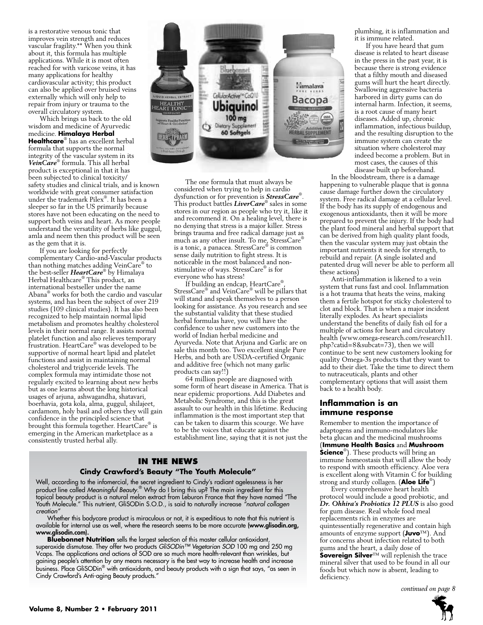is a restorative venous tonic that improves vein strength and reduces vascular fragility.\*\* When you think about it, this formula has multiple applications. While it is most often reached for with varicose veins, it has many applications for healthy cardiovascular activity; this product can also be applied over bruised veins externally which will only help to repair from injury or trauma to the overall circulatory system.

Which brings us back to the old wisdom and medicine of Ayurvedic medicine. **Himalaya Herbal Healthcare**® has an excellent herbal formula that supports the normal integrity of the vascular system in its *VeinCare*® formula. This all herbal product is exceptional in that it has been subjected to clinical toxicity/ safety studies and clinical trials, and is known worldwide with great consumer satisfaction under the trademark Pilex® . It has been a sleeper so far in the US primarily because stores have not been educating on the need to support both veins and heart. As more people understand the versatility of herbs like guggul, amla and neem then this product will be seen as the gem that it is.

If you are looking for perfectly complementary Cardio-and-Vascular products than nothing matches adding VeinCare® to the best-seller HeartCare® by Himalaya Herbal Healthcare® This product, an international bestseller under the name Abana® works for both the cardio and vascular systems, and has been the subject of over 219 studies (109 clinical studies). It has also been recognized to help maintain normal lipid metabolism and promotes healthy cholesterol levels in their normal range. It assists normal platelet function and also relieves temporary frustration. HeartCare® was developed to be supportive of normal heart lipid and platelet functions and assist in maintaining normal cholesterol and triglyceride levels. The complex formula may intimidate those not regularly excited to learning about new herbs but as one learns about the long historical usages of arjuna, ashwagandha, shatavari, boerhavia, gota kola, alma, guggul, shilajeet, cardamom, holy basil and others they will gain confidence in the principled science that brought this formula together. HeartCare® is emerging in the American marketplace as a consistently trusted herbal ally.



The one formula that must always be considered when trying to help in cardio dysfunction or for prevention is *StressCare*® . This product battles *LiverCare*® sales in some stores in our region as people who try it, like it and recommend it. On a healing level, there is no denying that stress is a major killer. Stress brings trauma and free radical damage just as much as any other insult. To me, StressCare® is a tonic, a panacea. StressCare® is common sense daily nutrition to fight stress. It is noticeable in the most balanced and nonstimulative of ways. StressCare® is for everyone who has stress!

If building an endcap, HeartCare® , StressCare® and VeinCare® will be pillars that will stand and speak themselves to a person looking for assistance. As you research and see the substantial validity that these studied herbal formulas have, you will have the confidence to usher new customers into the world of Indian herbal medicine and Ayurveda. Note that Arjuna and Garlic are on sale this month too. Two excellent single Pure Herbs, and both are USDA-certified Organic and additive free (which not many garlic products can say!!)

64 million people are diagnosed with some form of heart disease in America. That is near epidemic proportions. Add Diabetes and Metabolic Syndrome, and this is the great assault to our health in this lifetime. Reducing inflammation is the most important step that can be taken to disarm this scourge. We have to be the voices that educate against the establishment line, saying that it is not just the

## **In the News**

#### **Cindy Crawford's Beauty "The Youth Molecule"**

Well, according to the infomercial, the secret ingredient to Cindy's radiant agelessness is her product line called *Meaningful Beauty*. ® Why do I bring this up? The main ingredient for this topical beauty product is a natural melon extract from Leburon France that they have named "The Youth Molecule." This nutrient, GliSODin S.O.D., is said to naturally increase *"natural collagen creation"*

Whether this bodycare product is miraculous or not, it is expeditious to note that this nutrient is available for internal use as well, where the research seems to be more accurate (www.glisodin.org, www.glisodin.com).

**Bluebonnet Nutrition** sells the largest selection of this master cellular antioxidant, superoxide dismutase. They offer two products *GliSODin™ Vegetarian SOD* 100 mg and 250 mg Vcaps. The applications and actions of SOD are so much more health-relevant than wrinkles, but gaining people's attention by any means necessary is the best way to increase health and increase business. Place GliSODin® with antioxidants, and beauty products with a sign that says, "as seen in Cindy Crawford's Anti-aging Beauty products."

plumbing, it is inflammation and it is immune related.

If you have heard that gum disease is related to heart disease in the press in the past year, it is because there is strong evidence that a filthy mouth and diseased gums will hurt the heart directly. Swallowing aggressive bacteria harbored in dirty gums can do internal harm. Infection, it seems, is a root cause of many heart diseases. Added up, chronic inflammation, infectious buildup, and the resulting disruption to the immune system can create the situation where cholesterol may indeed become a problem. But in most cases, the causes of this disease built up beforehand.

In the bloodstream, there is a damage happening to vulnerable plaque that is gonna cause damage further down the circulatory system. Free radical damage at a cellular level. If the body has its supply of endogenous and exogenous antioxidants, then it will be more prepared to prevent the injury. If the body had the plant food mineral and herbal support that can be derived from high quality plant foods, then the vascular system may just obtain the important nutrients it needs for strength, to rebuild and repair. (A single isolated and patented drug will never be able to perform all these actions)

Anti-inflammation is likened to a vein system that runs fast and cool. Inflammation is a hot trauma that heats the veins, making them a fertile hotspot for sticky cholesterol to clot and block. That is when a major incident literally explodes. As heart specialists understand the benefits of daily fish oil for a multiple of actions for heart and circulatory health (www.omega-research.com/research11. php?catid=8&subcat=73), then we will continue to be sent new customers looking for quality Omega-3s products that they want to add to their diet. Take the time to direct them to nutraceuticals, plants and other complementary options that will assist them back to a health body.

#### **Inflammation is an immune response**

Remember to mention the importance of adaptogens and immuno-modulators like beta glucan and the medicinal mushrooms (**Immune Health Basics** and **Mushroom Science**<sup>®</sup>). These products will bring an immune homeostasis that will allow the body to respond with smooth efficiency. Aloe vera is excellent along with Vitamin C for building strong and sturdy collagen. (**Aloe Life**®)

Every comprehensive heart health protocol would include a good probiotic, and *Dr. Ohhira's Probiotics 12 PLUS* is also good for gum disease. Real whole food meal replacements rich in enzymes are quintessentially regenerative and contain high amounts of enzyme support (**Juvo**™). And for concerns about infection related to both gums and the heart, a daily dose of **Sovereign Silver**™ will replenish the trace mineral silver that used to be found in all our foods but which now is absent, leading to deficiency.

*continued on page 8*